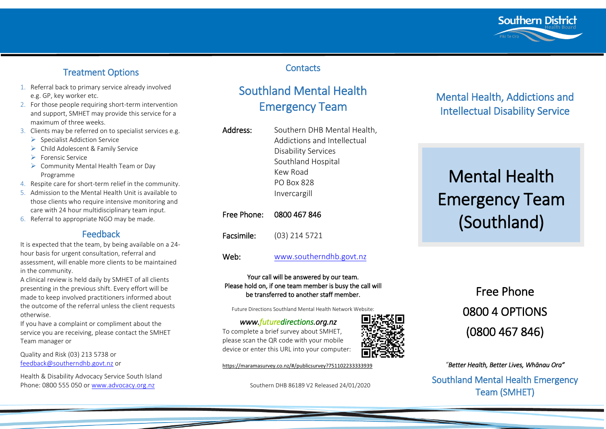

# Treatment Options

- 1. Referral back to primary service already involved e.g. GP, key worker etc.
- 2. For those people requiring short-term intervention and support, SMHET may provide this service for a maximum of three weeks.
- 3. Clients may be referred on to specialist services e.g.
	- $\triangleright$  Specialist Addiction Service
	- ▶ Child Adolescent & Family Service
	- $\triangleright$  Forensic Service
	- $\triangleright$  Community Mental Health Team or Day Programme
- 4. Respite care for short-term relief in the community.
- 5. Admission to the Mental Health Unit is available to those clients who require intensive monitoring and care with 24 hour multidisciplinary team input.
- 6. Referral to appropriate NGO may be made.

# Feedback

It is expected that the team, by being available on a 24 hour basis for urgent consultation, referral and assessment, will enable more clients to be maintained in the community.

A clinical review is held daily by SMHET of all clients presenting in the previous shift. Every effort will be made to keep involved practitioners informed about the outcome of the referral unless the client requests otherwise.

If you have a complaint or compliment about the service you are receiving, please contact the SMHET Team manager or

Quality and Risk (03) 213 5738 or [feedback@southerndhb.govt.nz](mailto:feedback@southerndhb.govt.nz) or

Health & Disability Advocacy Service South Island Phone: 0800 555 050 or [www.advocacy.org.nz](http://www.advocacy.org.nz/)

# **Contacts**

# Southland Mental Health Emergency Team

| Address:    | Southern DHB Mental Health,<br>Addictions and Intellectual<br>Disability Services<br>Southland Hospital<br>Kew Road<br>PO Box 828<br>Invercargill |
|-------------|---------------------------------------------------------------------------------------------------------------------------------------------------|
| Free Phone: | 0800 467 846                                                                                                                                      |
| Facsimile:  | $(03)$ 214 5721                                                                                                                                   |
| Web:        | www.southerndhb.govt.nz                                                                                                                           |

### Your call will be answered by our team. Please hold on, if one team member is busy the call will be transferred to another staff member.

Future Directions Southland Mental Health Network Website:

*www.futuredirections.org.nz*  To complete a brief survey about SMHET, please scan the QR code with your mobile device or enter this URL into your computer:

<https://maramasurvey.co.nz/#/publicsurvey?751102233333939>

Southern DHB 86189 V2 Released 24/01/2020

# Mental Health, Addictions and Intellectual Disability Service

# Mental Health Emergency Team (Southland)

# Free Phone 0800 4 OPTIONS (0800 467 846)

*"Better Health, Better Lives, Whānau Ora"*  Southland Mental Health Emergency Team (SMHET)